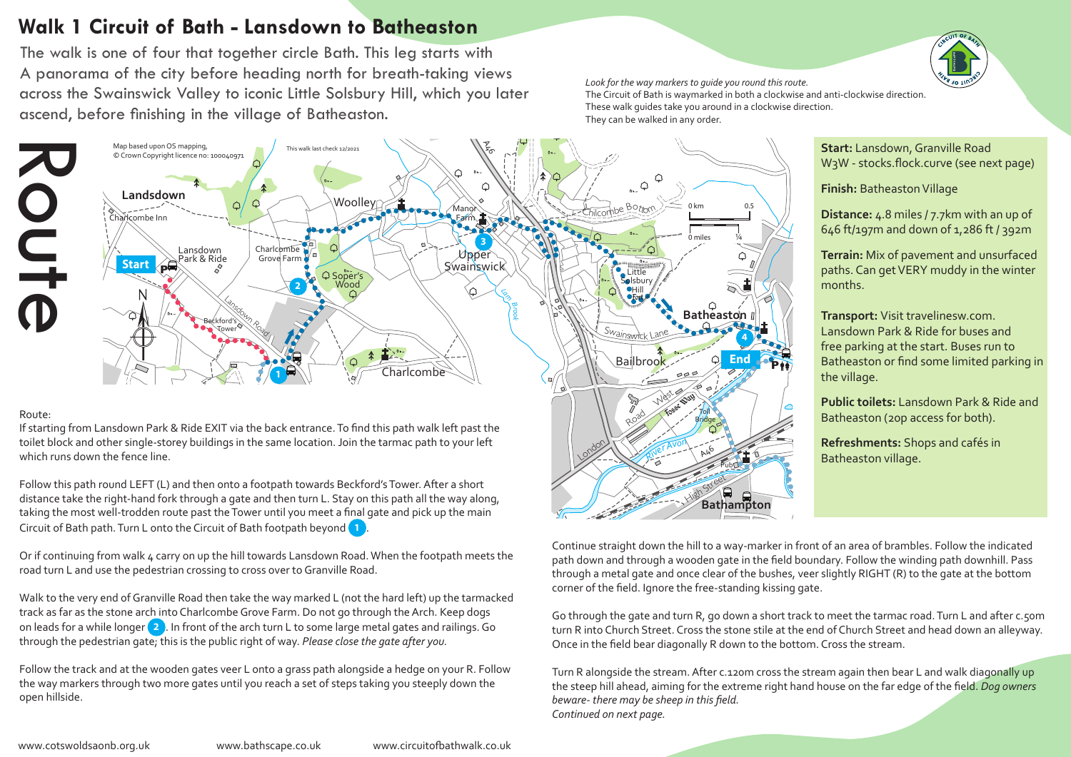## **Walk 1 Circuit of Bath - Lansdown to Batheaston**

The walk is one of four that together circle Bath. This leg starts with A panorama of the city before heading north for breath-taking views across the Swainswick Valley to iconic Little Solsbury Hill, which you later ascend, before finishing in the village of Batheaston.

*Look for the way markers to guide you round this route.* 

The Circuit of Bath is waymarked in both a clockwise and anti-clockwise direction. These walk guides take you around in a clockwise direction. They can be walked in any order.



Circuit of Bath path. Turn L onto the Circuit of Bath footpath beyond **1** Follow this path round LEFT (L) and then onto a footpath towards Beckford's Tower. After a short distance take the right-hand fork through a gate and then turn L. Stay on this path all the way along, taking the most well-trodden route past the Tower until you meet a final gate and pick up the main

or in continuing from waik 4 carry on up the rill towards Eansdown Road. When  $\alpha$  road turn L and use the pedestrian crossing to cross over to Granville Road. Or if continuing from walk 4 carry on up the hill towards Lansdown Road. When the footpath meets the

Walk to the very end of Granville Road then take the way marked L (not the hard left) up the tarmacked track as far as the stone arch into Charlcombe Grove Farm. Do not go through the Arch. Keep dogs on leads for a while longer **2** . In front of the arch turn L to some large metal gates and railings. Go through the pedestrian gate; this is the public right of way. *Please close the gate after you.*

Follow the track and at the wooden gates veer L onto a grass path alongside a hedge on your R. Follow the way markers through two more gates until you reach a set of steps taking you steeply down the open hillside.

Continue straight down the hill to a way-marker in front of an area of brambles. Follow the indicated path down and through a wooden gate in the field boundary. Follow the winding path downhill. Pass through a metal gate and once clear of the bushes, veer slightly RIGHT (R) to the gate at the bottom corner of the field. Ignore the free-standing kissing gate.

Bathampton Downton Downton Downton Downton Downton Downton Downton Downton Downton Downton Downton Downton Downton Downton Downton Downton Downton Downton Downton Downton Downton Downton Downton Downton Downton Downton Dow Go through the gate and turn R, go down a short track to meet the tarmac road. Turn L and after c.50m *River Avon* turn R into Church Street. Cross the stone stile at the end of Church Street and head down an alleyway. Once in the field bear diagonally R down to the bottom. Cross the stream.

Turn R alongside the stream. After c.120m cross the stream again then bear L and walk diagonally up the steep hill ahead, aiming for the extreme right hand house on the far edge of the field. *Dog owners beware- there may be sheep in this field. Continued on next page.*



**Finish:** Batheaston Village

**Distance:** 4.8 miles / 7.7km with an up of 646 ft/197m and down of 1,286 ft / 392m

**Terrain:** Mix of pavement and unsurfaced months.

**Transport:** Visit travelinesw.com. Lansdown Park & Ride for buses and free parking at the start. Buses run to Batheaston or find some limited parking in the village.

 $\frac{1}{2}$ Pub **Public toilets:** Lansdown Park & Ride and Batheaston (20p access for both).

**Refreshments:** Shops and cafés in Batheaston village.